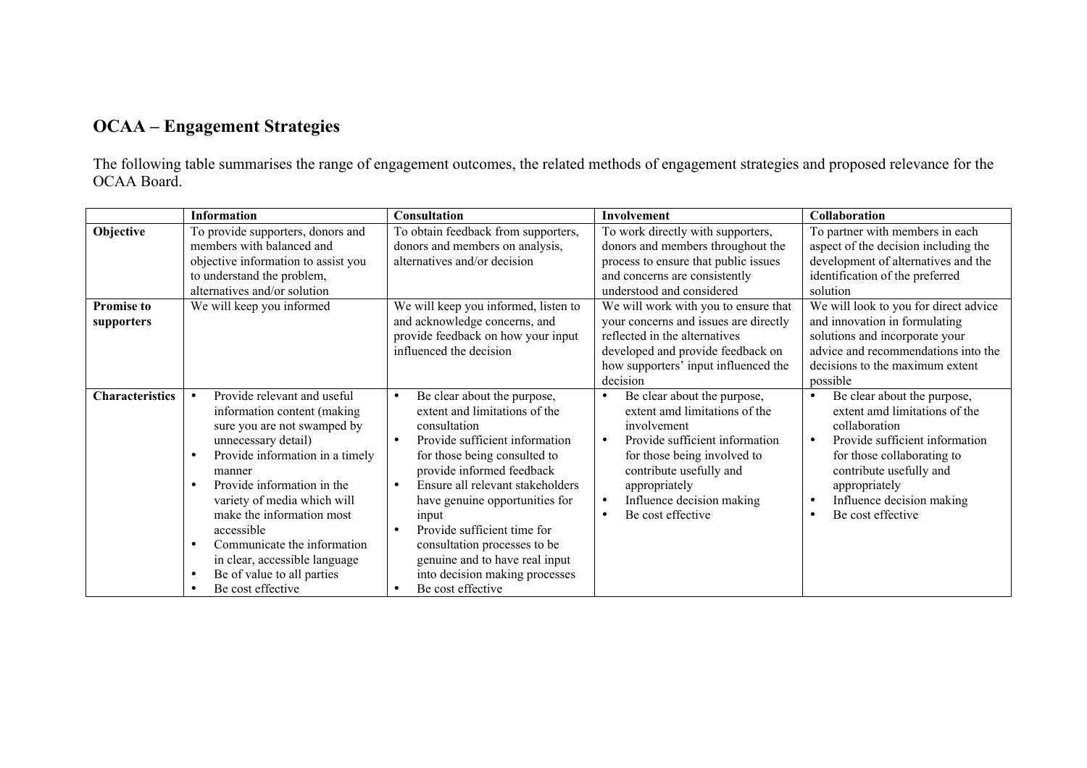## OCAA – Engagement Strategies

The following table summarises the range of engagement outcomes, the related methods of engagement strategies and proposed relevance for the OCAA Board.

|                                 | <b>Information</b>                                                                                                                                                                                                                                                                                                                                                                       | Consultation                                                                                                                                                                                                                                                                                                                                                                                                                                                                        | Involvement                                                                                                                                                                                                                                                                       | Collaboration                                                                                                                                                                                                                                                                                   |
|---------------------------------|------------------------------------------------------------------------------------------------------------------------------------------------------------------------------------------------------------------------------------------------------------------------------------------------------------------------------------------------------------------------------------------|-------------------------------------------------------------------------------------------------------------------------------------------------------------------------------------------------------------------------------------------------------------------------------------------------------------------------------------------------------------------------------------------------------------------------------------------------------------------------------------|-----------------------------------------------------------------------------------------------------------------------------------------------------------------------------------------------------------------------------------------------------------------------------------|-------------------------------------------------------------------------------------------------------------------------------------------------------------------------------------------------------------------------------------------------------------------------------------------------|
| Objective                       | To provide supporters, donors and<br>members with balanced and<br>objective information to assist you<br>to understand the problem,<br>alternatives and/or solution                                                                                                                                                                                                                      | To obtain feedback from supporters,<br>donors and members on analysis,<br>alternatives and/or decision                                                                                                                                                                                                                                                                                                                                                                              | To work directly with supporters,<br>donors and members throughout the<br>process to ensure that public issues<br>and concerns are consistently<br>understood and considered                                                                                                      | To partner with members in each<br>aspect of the decision including the<br>development of alternatives and the<br>identification of the preferred<br>solution                                                                                                                                   |
| <b>Promise to</b><br>supporters | We will keep you informed                                                                                                                                                                                                                                                                                                                                                                | We will keep you informed, listen to<br>and acknowledge concerns, and                                                                                                                                                                                                                                                                                                                                                                                                               | We will work with you to ensure that<br>your concerns and issues are directly                                                                                                                                                                                                     | We will look to you for direct advice<br>and innovation in formulating                                                                                                                                                                                                                          |
|                                 |                                                                                                                                                                                                                                                                                                                                                                                          | provide feedback on how your input<br>influenced the decision                                                                                                                                                                                                                                                                                                                                                                                                                       | reflected in the alternatives<br>developed and provide feedback on<br>how supporters' input influenced the<br>decision                                                                                                                                                            | solutions and incorporate your<br>advice and recommendations into the<br>decisions to the maximum extent<br>possible                                                                                                                                                                            |
| <b>Characteristics</b>          | Provide relevant and useful<br>information content (making<br>sure you are not swamped by<br>unnecessary detail)<br>Provide information in a timely<br>manner<br>Provide information in the<br>variety of media which will<br>make the information most<br>accessible<br>Communicate the information<br>in clear, accessible language<br>Be of value to all parties<br>Be cost effective | Be clear about the purpose,<br>$\bullet$<br>extent and limitations of the<br>consultation<br>Provide sufficient information<br>$\bullet$<br>for those being consulted to<br>provide informed feedback<br>Ensure all relevant stakeholders<br>$\bullet$<br>have genuine opportunities for<br>input<br>Provide sufficient time for<br>$\bullet$<br>consultation processes to be<br>genuine and to have real input<br>into decision making processes<br>Be cost effective<br>$\bullet$ | Be clear about the purpose,<br>$\bullet$<br>extent amd limitations of the<br>involvement<br>Provide sufficient information<br>$\bullet$<br>for those being involved to<br>contribute usefully and<br>appropriately<br>Influence decision making<br>$\bullet$<br>Be cost effective | Be clear about the purpose,<br>$\bullet$<br>extent amd limitations of the<br>collaboration<br>Provide sufficient information<br>$\bullet$<br>for those collaborating to<br>contribute usefully and<br>appropriately<br>Influence decision making<br>$\bullet$<br>Be cost effective<br>$\bullet$ |